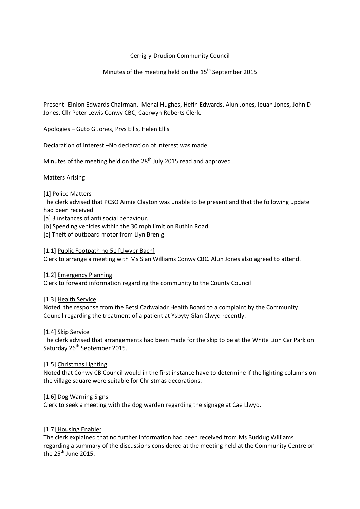## Cerrig-y-Drudion Community Council

# Minutes of the meeting held on the  $15^{\text{th}}$  September 2015

Present -Einion Edwards Chairman, Menai Hughes, Hefin Edwards, Alun Jones, Ieuan Jones, John D Jones, Cllr Peter Lewis Conwy CBC, Caerwyn Roberts Clerk.

Apologies – Guto G Jones, Prys Ellis, Helen Ellis

Declaration of interest –No declaration of interest was made

Minutes of the meeting held on the 28<sup>th</sup> July 2015 read and approved

Matters Arising

#### [1] Police Matters

The clerk advised that PCSO Aimie Clayton was unable to be present and that the following update had been received

[a] 3 instances of anti social behaviour.

[b] Speeding vehicles within the 30 mph limit on Ruthin Road.

[c] Theft of outboard motor from Llyn Brenig.

#### [1.1] Public Footpath no 51 [Llwybr Bach]

Clerk to arrange a meeting with Ms Sian Williams Conwy CBC. Alun Jones also agreed to attend.

#### [1.2] Emergency Planning

Clerk to forward information regarding the community to the County Council

#### [1.3] Health Service

Noted, the response from the Betsi Cadwaladr Health Board to a complaint by the Community Council regarding the treatment of a patient at Ysbyty Glan Clwyd recently.

#### [1.4] Skip Service

The clerk advised that arrangements had been made for the skip to be at the White Lion Car Park on Saturday 26<sup>th</sup> September 2015.

#### [1.5] Christmas Lighting

Noted that Conwy CB Council would in the first instance have to determine if the lighting columns on the village square were suitable for Christmas decorations.

#### [1.6] Dog Warning Signs

Clerk to seek a meeting with the dog warden regarding the signage at Cae Llwyd.

#### [1.7] Housing Enabler

The clerk explained that no further information had been received from Ms Buddug Williams regarding a summary of the discussions considered at the meeting held at the Community Centre on the  $25<sup>th</sup>$  June 2015.